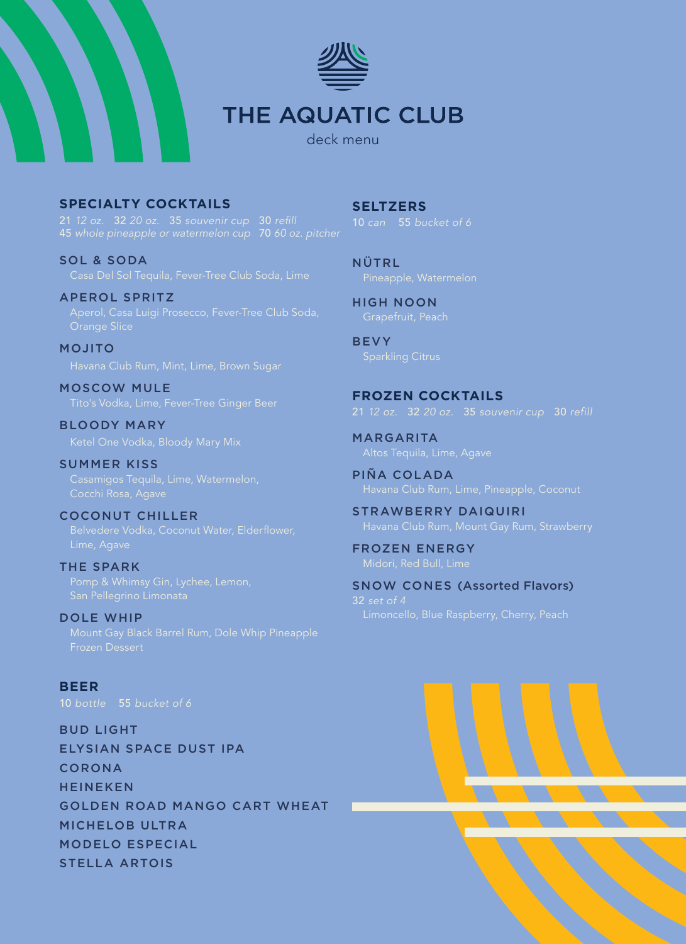

# **THE AQUATIC CLUB**

deck menu

**SPECIALTY COCKTAILS**

SOL & SODA

APEROL SPRITZ

MOJITO

MOSCOW MULE

BLOODY MARY

SUMMER KISS Cocchi Rosa, Agave

COCONUT CHILLER

THE SPARK

DOLE WHIP Mount Gay Black Barrel Rum, Dole Whip Pineapple Frozen Dessert

**BEER** 10 bottle 55 *bucket of 6*

BUD LIGHT ELYSIAN SPACE DUST IPA CORONA HEINEKEN GOLDEN ROAD MANGO CART WHEAT MICHELOB ULTRA MODELO ESPECIAL STELLA ARTOIS

**SELTZERS**

NÜTRL

HIGH NOON Grapefruit, Peach

BEVY

**FROZEN COCKTAILS** 21 *12 oz.* 32 *20 oz.* 35 *souvenir cup* 30 refill

MARGARITA

PIÑA COLADA

STRAWBERRY DAIQUIRI

FROZEN ENERGY Midori, Red Bull, Lime

SNOW CONES (Assorted Flavors) 32 *set of 4*